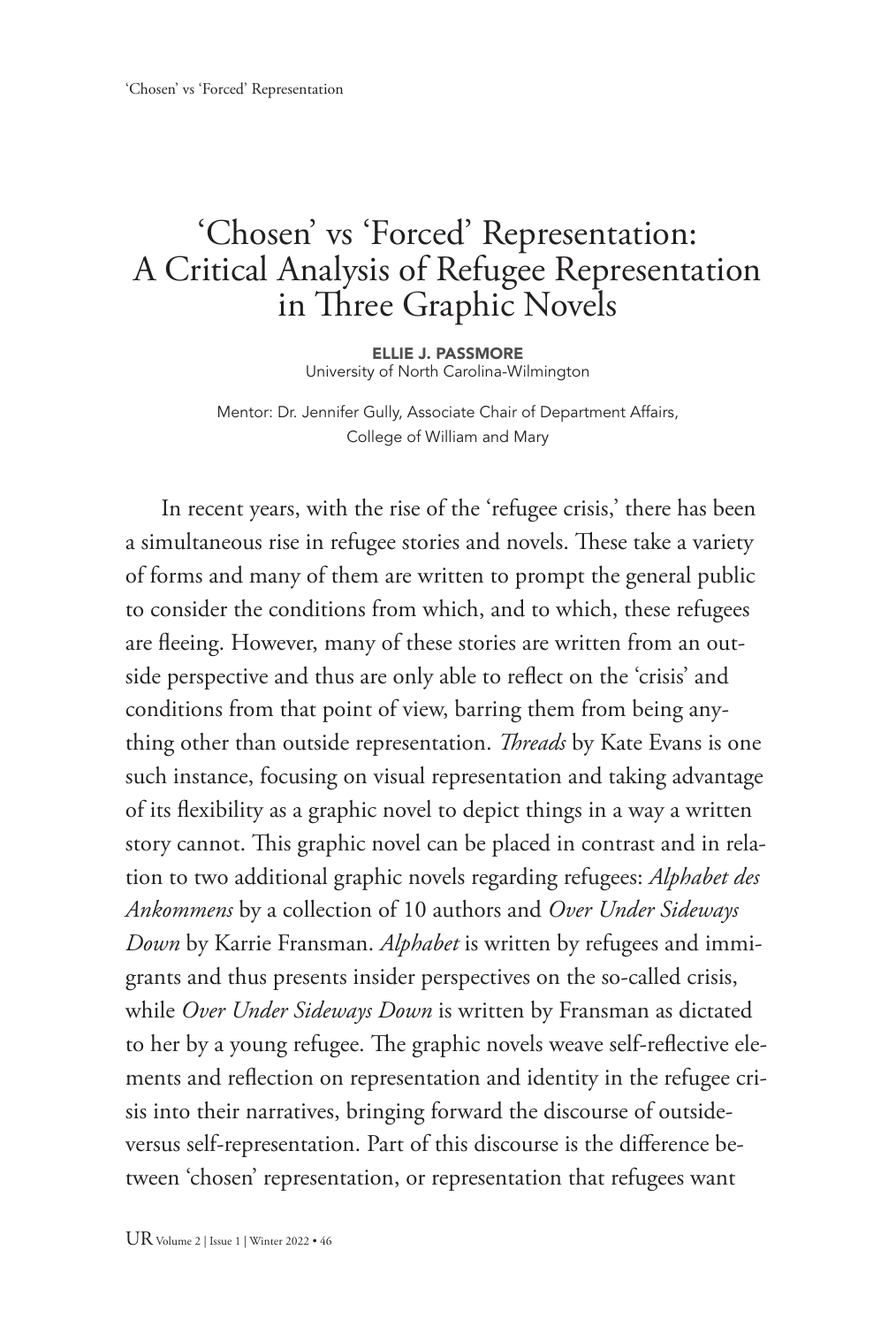## 'Chosen' vs 'Forced' Representation: A Critical Analysis of Refugee Representation in Three Graphic Novels

ELLIE J. PASSMORE University of North Carolina-Wilmington

Mentor: Dr. Jennifer Gully, Associate Chair of Department Affairs, College of William and Mary

In recent years, with the rise of the 'refugee crisis,' there has been a simultaneous rise in refugee stories and novels. These take a variety of forms and many of them are written to prompt the general public to consider the conditions from which, and to which, these refugees are fleeing. However, many of these stories are written from an outside perspective and thus are only able to reflect on the 'crisis' and conditions from that point of view, barring them from being anything other than outside representation. *Threads* by Kate Evans is one such instance, focusing on visual representation and taking advantage of its flexibility as a graphic novel to depict things in a way a written story cannot. This graphic novel can be placed in contrast and in relation to two additional graphic novels regarding refugees: *Alphabet des Ankommens* by a collection of 10 authors and *Over Under Sideways Down* by Karrie Fransman. *Alphabet* is written by refugees and immigrants and thus presents insider perspectives on the so-called crisis, while *Over Under Sideways Down* is written by Fransman as dictated to her by a young refugee. The graphic novels weave self-reflective elements and reflection on representation and identity in the refugee crisis into their narratives, bringing forward the discourse of outsideversus self-representation. Part of this discourse is the difference between 'chosen' representation, or representation that refugees want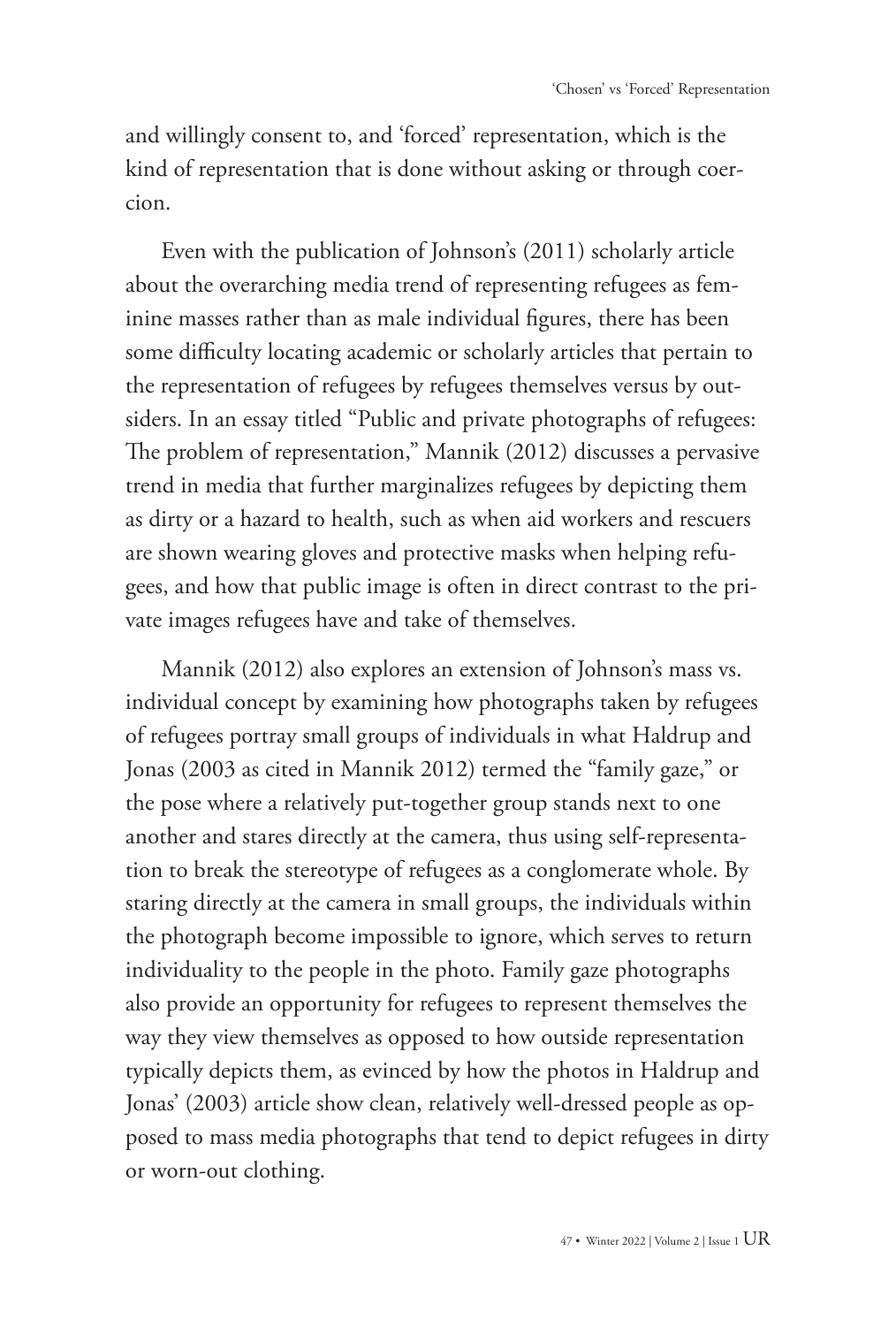and willingly consent to, and 'forced' representation, which is the kind of representation that is done without asking or through coercion.

Even with the publication of Johnson's (2011) scholarly article about the overarching media trend of representing refugees as feminine masses rather than as male individual figures, there has been some difficulty locating academic or scholarly articles that pertain to the representation of refugees by refugees themselves versus by outsiders. In an essay titled "Public and private photographs of refugees: The problem of representation," Mannik (2012) discusses a pervasive trend in media that further marginalizes refugees by depicting them as dirty or a hazard to health, such as when aid workers and rescuers are shown wearing gloves and protective masks when helping refugees, and how that public image is often in direct contrast to the private images refugees have and take of themselves.

Mannik (2012) also explores an extension of Johnson's mass vs. individual concept by examining how photographs taken by refugees of refugees portray small groups of individuals in what Haldrup and Jonas (2003 as cited in Mannik 2012) termed the "family gaze," or the pose where a relatively put-together group stands next to one another and stares directly at the camera, thus using self-representation to break the stereotype of refugees as a conglomerate whole. By staring directly at the camera in small groups, the individuals within the photograph become impossible to ignore, which serves to return individuality to the people in the photo. Family gaze photographs also provide an opportunity for refugees to represent themselves the way they view themselves as opposed to how outside representation typically depicts them, as evinced by how the photos in Haldrup and Jonas' (2003) article show clean, relatively well-dressed people as opposed to mass media photographs that tend to depict refugees in dirty or worn-out clothing.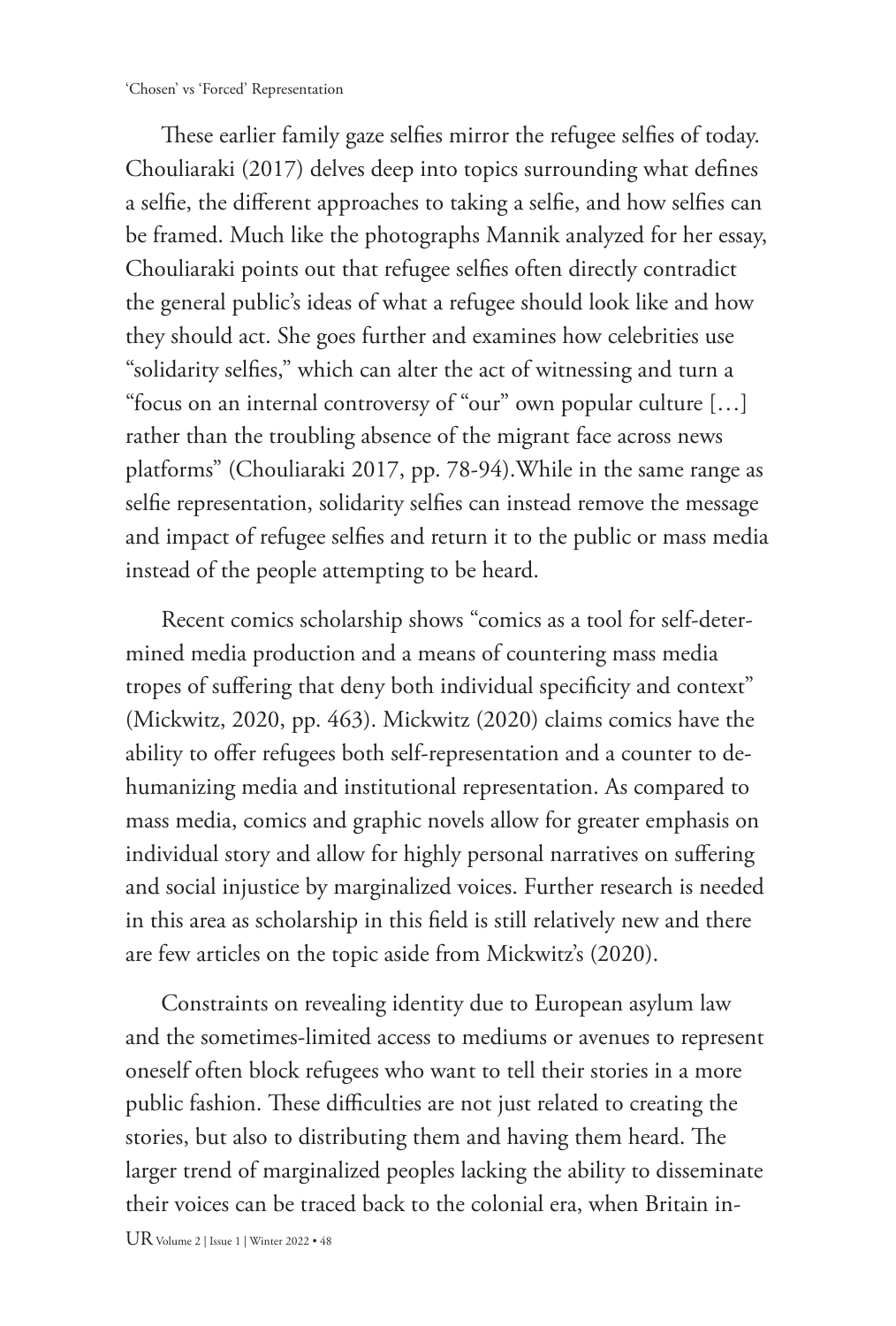These earlier family gaze selfies mirror the refugee selfies of today. Chouliaraki (2017) delves deep into topics surrounding what defines a selfie, the different approaches to taking a selfie, and how selfies can be framed. Much like the photographs Mannik analyzed for her essay, Chouliaraki points out that refugee selfies often directly contradict the general public's ideas of what a refugee should look like and how they should act. She goes further and examines how celebrities use "solidarity selfies," which can alter the act of witnessing and turn a "focus on an internal controversy of "our" own popular culture […] rather than the troubling absence of the migrant face across news platforms" (Chouliaraki 2017, pp. 78-94).While in the same range as selfie representation, solidarity selfies can instead remove the message and impact of refugee selfies and return it to the public or mass media instead of the people attempting to be heard.

Recent comics scholarship shows "comics as a tool for self-determined media production and a means of countering mass media tropes of suffering that deny both individual specificity and context" (Mickwitz, 2020, pp. 463). Mickwitz (2020) claims comics have the ability to offer refugees both self-representation and a counter to dehumanizing media and institutional representation. As compared to mass media, comics and graphic novels allow for greater emphasis on individual story and allow for highly personal narratives on suffering and social injustice by marginalized voices. Further research is needed in this area as scholarship in this field is still relatively new and there are few articles on the topic aside from Mickwitz's (2020).

Constraints on revealing identity due to European asylum law and the sometimes-limited access to mediums or avenues to represent oneself often block refugees who want to tell their stories in a more public fashion. These difficulties are not just related to creating the stories, but also to distributing them and having them heard. The larger trend of marginalized peoples lacking the ability to disseminate their voices can be traced back to the colonial era, when Britain in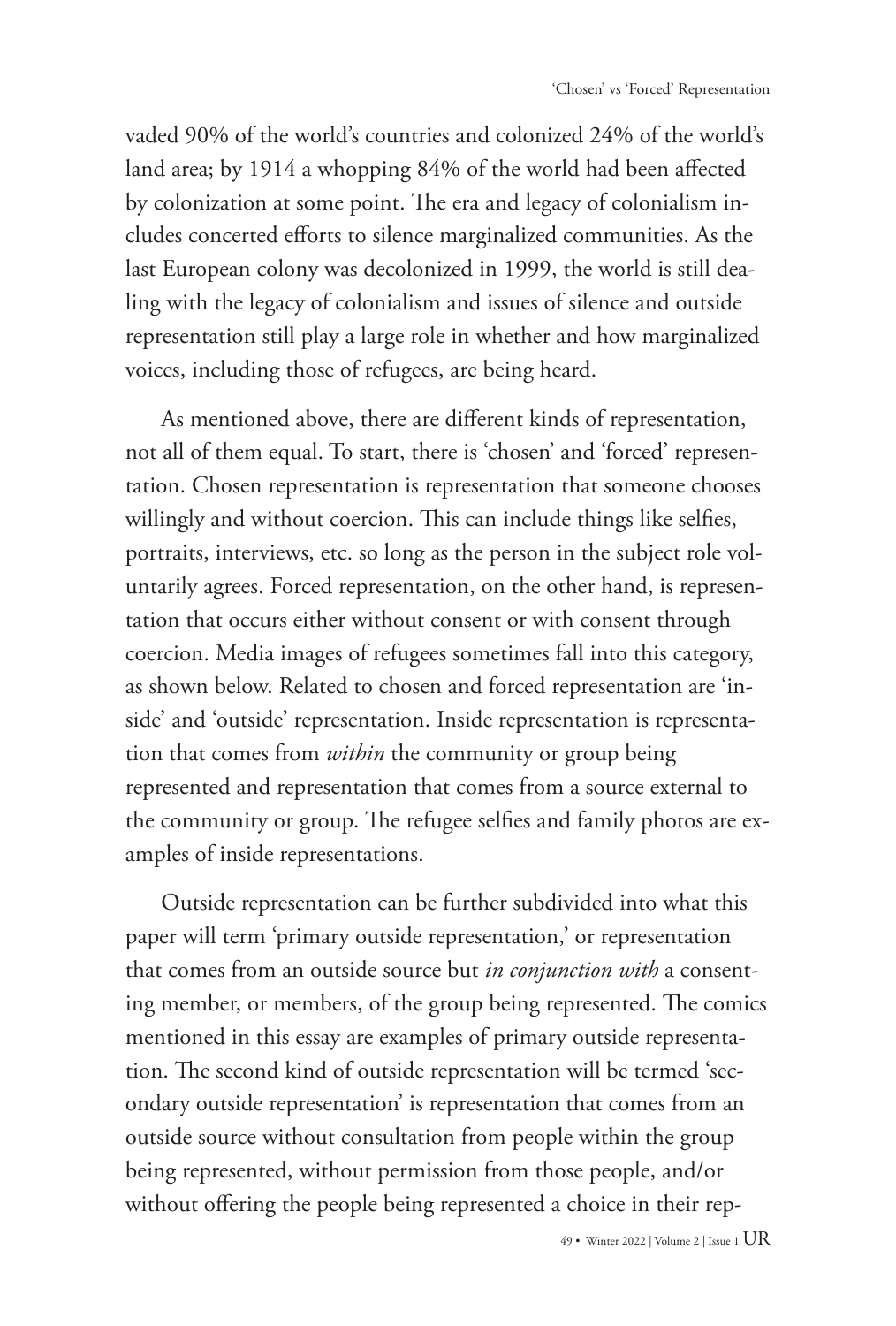vaded 90% of the world's countries and colonized 24% of the world's land area; by 1914 a whopping 84% of the world had been affected by colonization at some point. The era and legacy of colonialism includes concerted efforts to silence marginalized communities. As the last European colony was decolonized in 1999, the world is still dealing with the legacy of colonialism and issues of silence and outside representation still play a large role in whether and how marginalized voices, including those of refugees, are being heard.

As mentioned above, there are different kinds of representation, not all of them equal. To start, there is 'chosen' and 'forced' representation. Chosen representation is representation that someone chooses willingly and without coercion. This can include things like selfies, portraits, interviews, etc. so long as the person in the subject role voluntarily agrees. Forced representation, on the other hand, is representation that occurs either without consent or with consent through coercion. Media images of refugees sometimes fall into this category, as shown below. Related to chosen and forced representation are 'inside' and 'outside' representation. Inside representation is representation that comes from *within* the community or group being represented and representation that comes from a source external to the community or group. The refugee selfies and family photos are examples of inside representations.

Outside representation can be further subdivided into what this paper will term 'primary outside representation,' or representation that comes from an outside source but *in conjunction with* a consenting member, or members, of the group being represented. The comics mentioned in this essay are examples of primary outside representation. The second kind of outside representation will be termed 'secondary outside representation' is representation that comes from an outside source without consultation from people within the group being represented, without permission from those people, and/or without offering the people being represented a choice in their rep-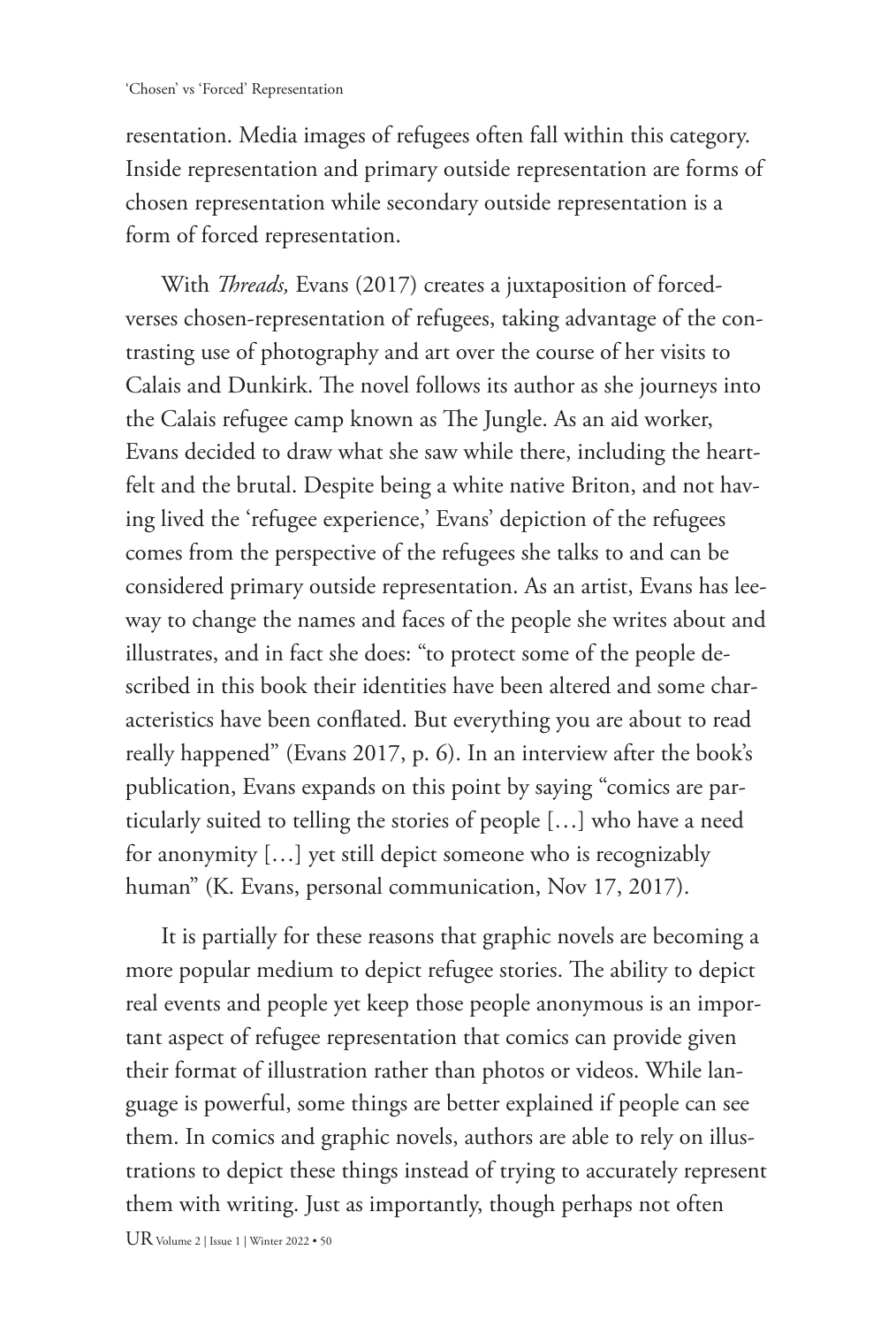resentation. Media images of refugees often fall within this category. Inside representation and primary outside representation are forms of chosen representation while secondary outside representation is a form of forced representation.

With *Threads,* Evans (2017) creates a juxtaposition of forcedverses chosen-representation of refugees, taking advantage of the contrasting use of photography and art over the course of her visits to Calais and Dunkirk. The novel follows its author as she journeys into the Calais refugee camp known as The Jungle. As an aid worker, Evans decided to draw what she saw while there, including the heartfelt and the brutal. Despite being a white native Briton, and not having lived the 'refugee experience,' Evans' depiction of the refugees comes from the perspective of the refugees she talks to and can be considered primary outside representation. As an artist, Evans has leeway to change the names and faces of the people she writes about and illustrates, and in fact she does: "to protect some of the people described in this book their identities have been altered and some characteristics have been conflated. But everything you are about to read really happened" (Evans 2017, p. 6). In an interview after the book's publication, Evans expands on this point by saying "comics are particularly suited to telling the stories of people […] who have a need for anonymity […] yet still depict someone who is recognizably human" (K. Evans, personal communication, Nov 17, 2017).

It is partially for these reasons that graphic novels are becoming a more popular medium to depict refugee stories. The ability to depict real events and people yet keep those people anonymous is an important aspect of refugee representation that comics can provide given their format of illustration rather than photos or videos. While language is powerful, some things are better explained if people can see them. In comics and graphic novels, authors are able to rely on illustrations to depict these things instead of trying to accurately represent them with writing. Just as importantly, though perhaps not often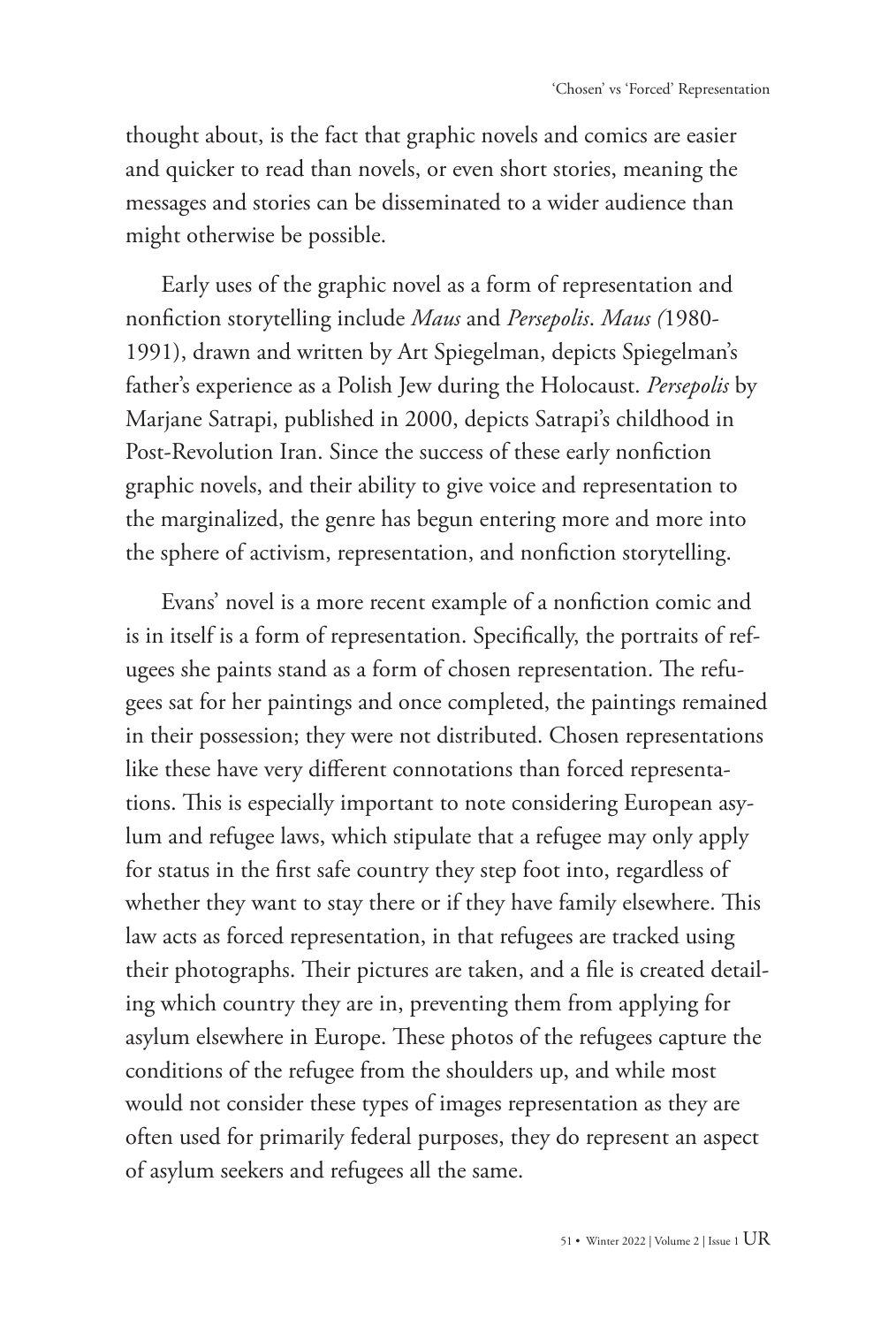thought about, is the fact that graphic novels and comics are easier and quicker to read than novels, or even short stories, meaning the messages and stories can be disseminated to a wider audience than might otherwise be possible.

Early uses of the graphic novel as a form of representation and nonfiction storytelling include *Maus* and *Persepolis*. *Maus (*1980- 1991), drawn and written by Art Spiegelman, depicts Spiegelman's father's experience as a Polish Jew during the Holocaust. *Persepolis* by Marjane Satrapi, published in 2000, depicts Satrapi's childhood in Post-Revolution Iran. Since the success of these early nonfiction graphic novels, and their ability to give voice and representation to the marginalized, the genre has begun entering more and more into the sphere of activism, representation, and nonfiction storytelling.

Evans' novel is a more recent example of a nonfiction comic and is in itself is a form of representation. Specifically, the portraits of refugees she paints stand as a form of chosen representation. The refugees sat for her paintings and once completed, the paintings remained in their possession; they were not distributed. Chosen representations like these have very different connotations than forced representations. This is especially important to note considering European asylum and refugee laws, which stipulate that a refugee may only apply for status in the first safe country they step foot into, regardless of whether they want to stay there or if they have family elsewhere. This law acts as forced representation, in that refugees are tracked using their photographs. Their pictures are taken, and a file is created detailing which country they are in, preventing them from applying for asylum elsewhere in Europe. These photos of the refugees capture the conditions of the refugee from the shoulders up, and while most would not consider these types of images representation as they are often used for primarily federal purposes, they do represent an aspect of asylum seekers and refugees all the same.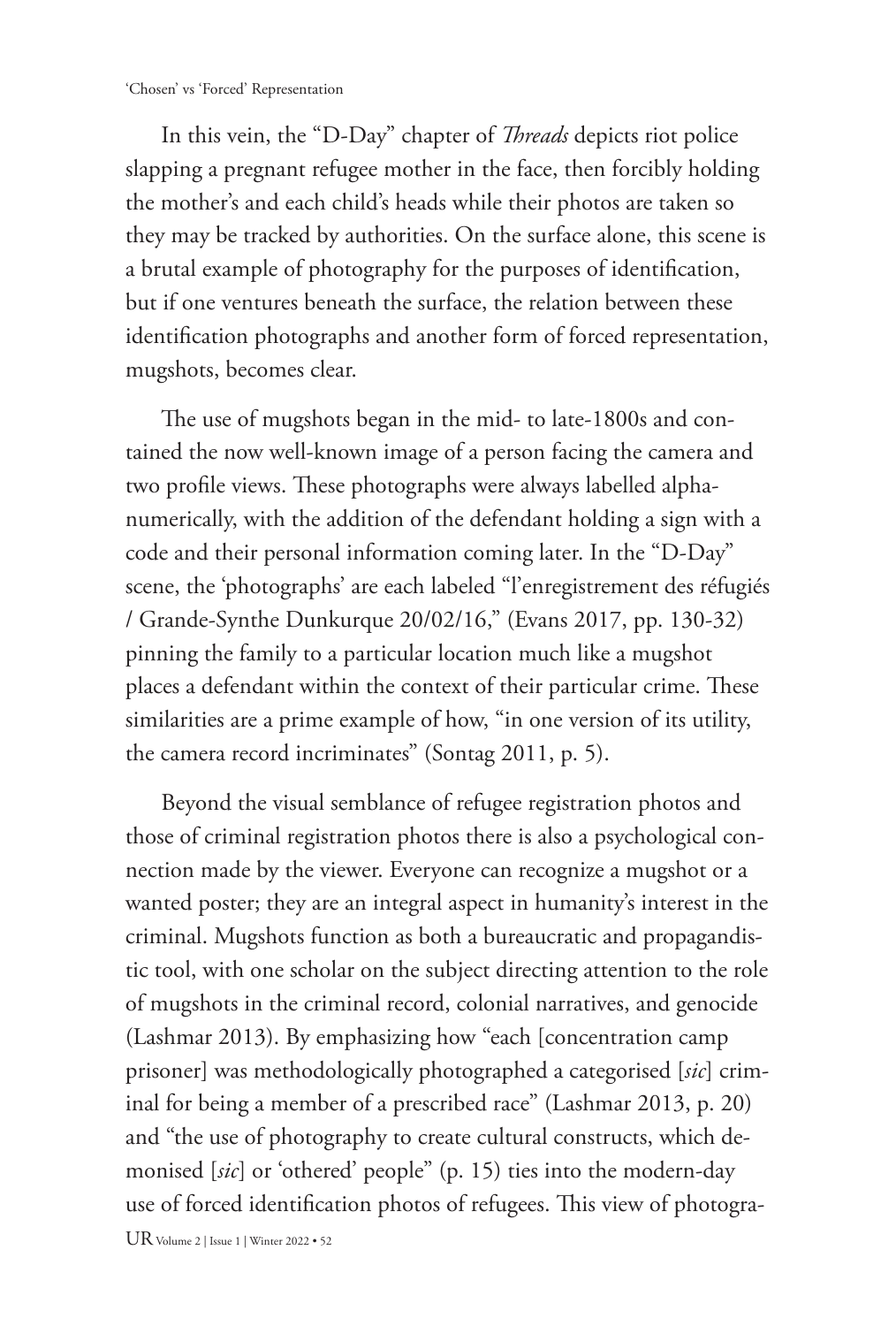In this vein, the "D-Day" chapter of *Threads* depicts riot police slapping a pregnant refugee mother in the face, then forcibly holding the mother's and each child's heads while their photos are taken so they may be tracked by authorities. On the surface alone, this scene is a brutal example of photography for the purposes of identification, but if one ventures beneath the surface, the relation between these identification photographs and another form of forced representation, mugshots, becomes clear.

The use of mugshots began in the mid- to late-1800s and contained the now well-known image of a person facing the camera and two profile views. These photographs were always labelled alphanumerically, with the addition of the defendant holding a sign with a code and their personal information coming later. In the "D-Day" scene, the 'photographs' are each labeled "l'enregistrement des réfugiés / Grande-Synthe Dunkurque 20/02/16," (Evans 2017, pp. 130-32) pinning the family to a particular location much like a mugshot places a defendant within the context of their particular crime. These similarities are a prime example of how, "in one version of its utility, the camera record incriminates" (Sontag 2011, p. 5).

Beyond the visual semblance of refugee registration photos and those of criminal registration photos there is also a psychological connection made by the viewer. Everyone can recognize a mugshot or a wanted poster; they are an integral aspect in humanity's interest in the criminal. Mugshots function as both a bureaucratic and propagandistic tool, with one scholar on the subject directing attention to the role of mugshots in the criminal record, colonial narratives, and genocide (Lashmar 2013). By emphasizing how "each [concentration camp prisoner] was methodologically photographed a categorised [*sic*] criminal for being a member of a prescribed race" (Lashmar 2013, p. 20) and "the use of photography to create cultural constructs, which demonised [*sic*] or 'othered' people" (p. 15) ties into the modern-day use of forced identification photos of refugees. This view of photogra-

UR Volume 2 | Issue 1 | Winter 2022 • 52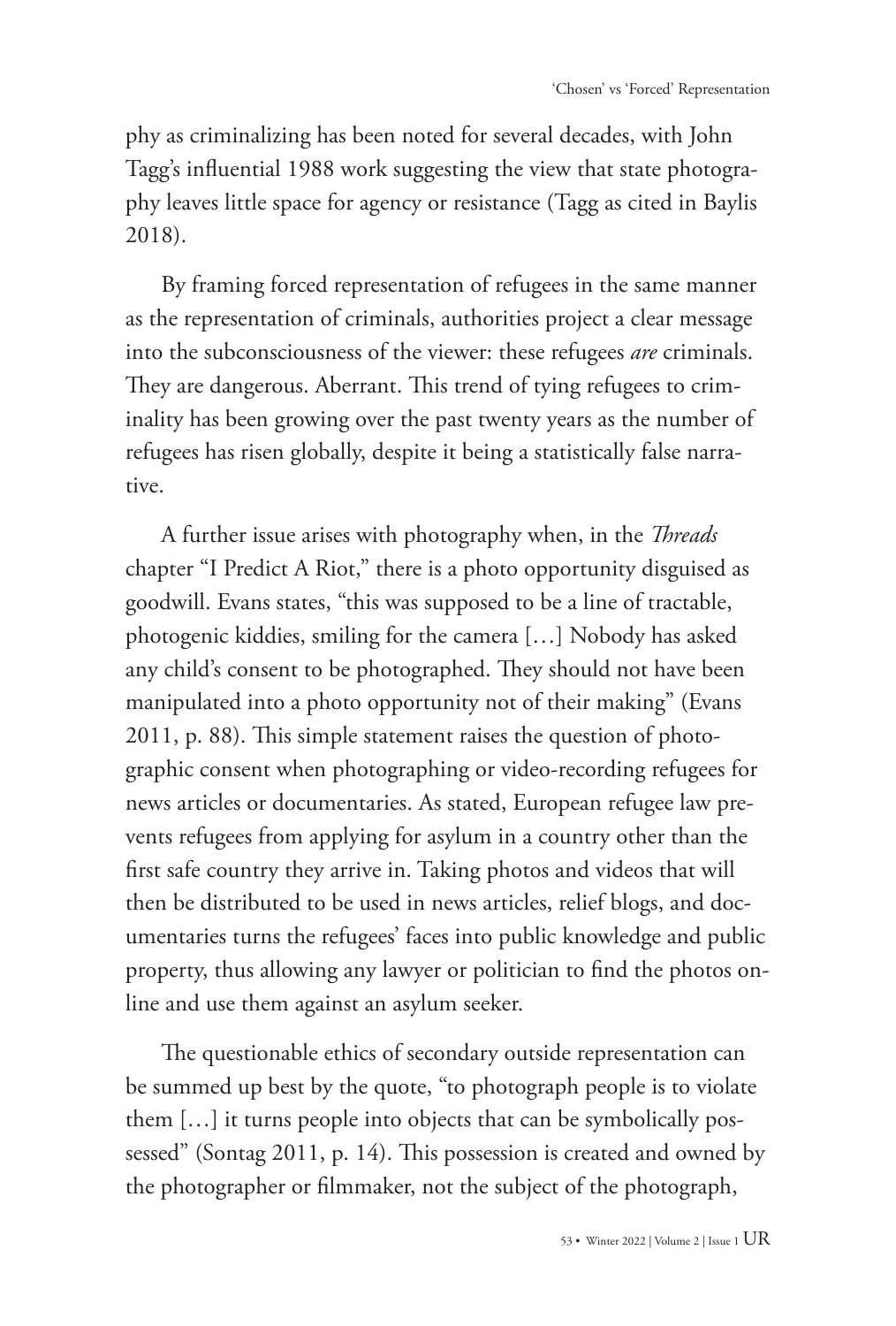phy as criminalizing has been noted for several decades, with John Tagg's influential 1988 work suggesting the view that state photography leaves little space for agency or resistance (Tagg as cited in Baylis 2018).

By framing forced representation of refugees in the same manner as the representation of criminals, authorities project a clear message into the subconsciousness of the viewer: these refugees *are* criminals. They are dangerous. Aberrant. This trend of tying refugees to criminality has been growing over the past twenty years as the number of refugees has risen globally, despite it being a statistically false narrative.

A further issue arises with photography when, in the *Threads* chapter "I Predict A Riot," there is a photo opportunity disguised as goodwill. Evans states, "this was supposed to be a line of tractable, photogenic kiddies, smiling for the camera […] Nobody has asked any child's consent to be photographed. They should not have been manipulated into a photo opportunity not of their making" (Evans 2011, p. 88). This simple statement raises the question of photographic consent when photographing or video-recording refugees for news articles or documentaries. As stated, European refugee law prevents refugees from applying for asylum in a country other than the first safe country they arrive in. Taking photos and videos that will then be distributed to be used in news articles, relief blogs, and documentaries turns the refugees' faces into public knowledge and public property, thus allowing any lawyer or politician to find the photos online and use them against an asylum seeker.

The questionable ethics of secondary outside representation can be summed up best by the quote, "to photograph people is to violate them […] it turns people into objects that can be symbolically possessed" (Sontag 2011, p. 14). This possession is created and owned by the photographer or filmmaker, not the subject of the photograph,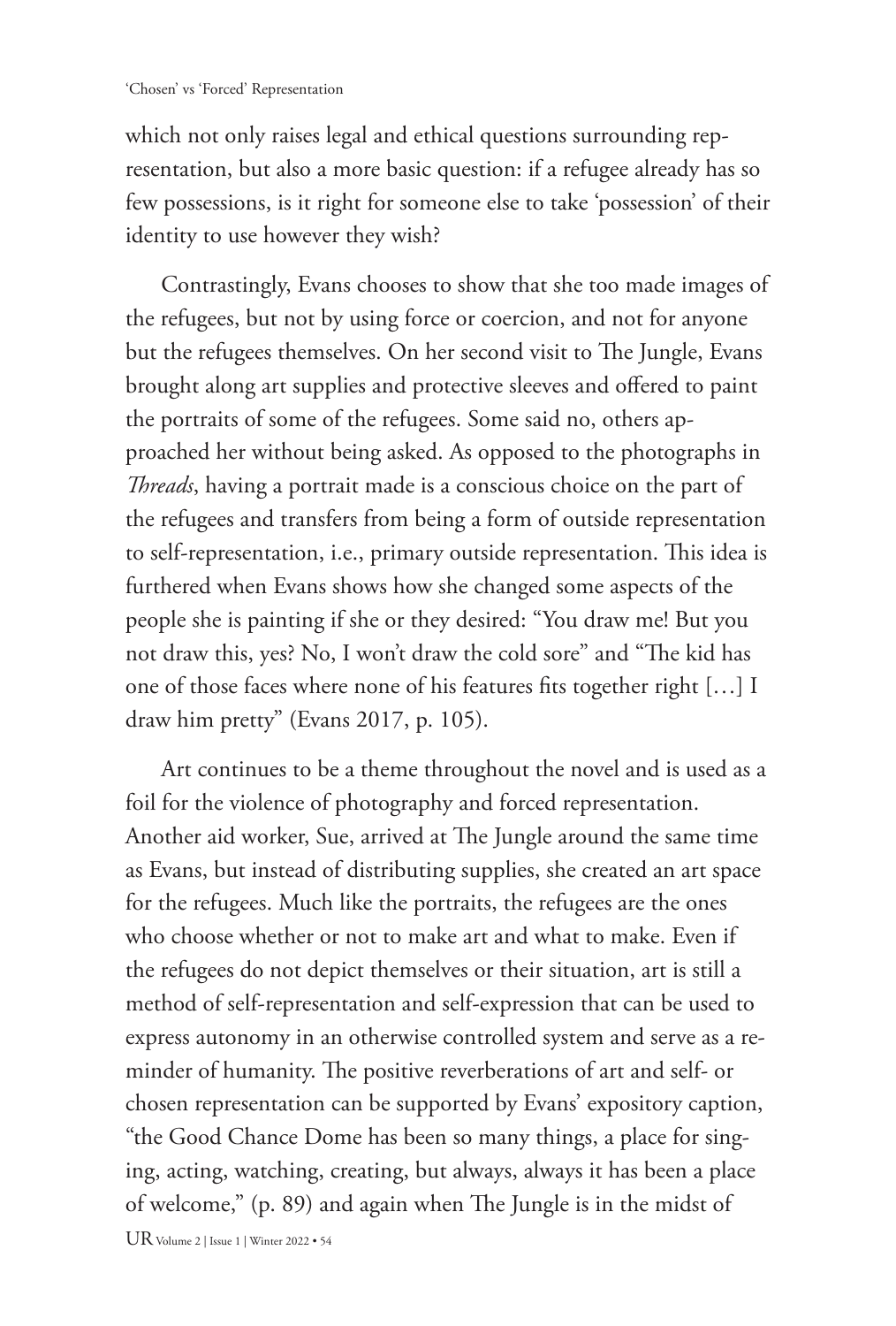which not only raises legal and ethical questions surrounding representation, but also a more basic question: if a refugee already has so few possessions, is it right for someone else to take 'possession' of their identity to use however they wish?

Contrastingly, Evans chooses to show that she too made images of the refugees, but not by using force or coercion, and not for anyone but the refugees themselves. On her second visit to The Jungle, Evans brought along art supplies and protective sleeves and offered to paint the portraits of some of the refugees. Some said no, others approached her without being asked. As opposed to the photographs in *Threads*, having a portrait made is a conscious choice on the part of the refugees and transfers from being a form of outside representation to self-representation, i.e., primary outside representation. This idea is furthered when Evans shows how she changed some aspects of the people she is painting if she or they desired: "You draw me! But you not draw this, yes? No, I won't draw the cold sore" and "The kid has one of those faces where none of his features fits together right […] I draw him pretty" (Evans 2017, p. 105).

Art continues to be a theme throughout the novel and is used as a foil for the violence of photography and forced representation. Another aid worker, Sue, arrived at The Jungle around the same time as Evans, but instead of distributing supplies, she created an art space for the refugees. Much like the portraits, the refugees are the ones who choose whether or not to make art and what to make. Even if the refugees do not depict themselves or their situation, art is still a method of self-representation and self-expression that can be used to express autonomy in an otherwise controlled system and serve as a reminder of humanity. The positive reverberations of art and self- or chosen representation can be supported by Evans' expository caption, "the Good Chance Dome has been so many things, a place for singing, acting, watching, creating, but always, always it has been a place of welcome," (p. 89) and again when The Jungle is in the midst of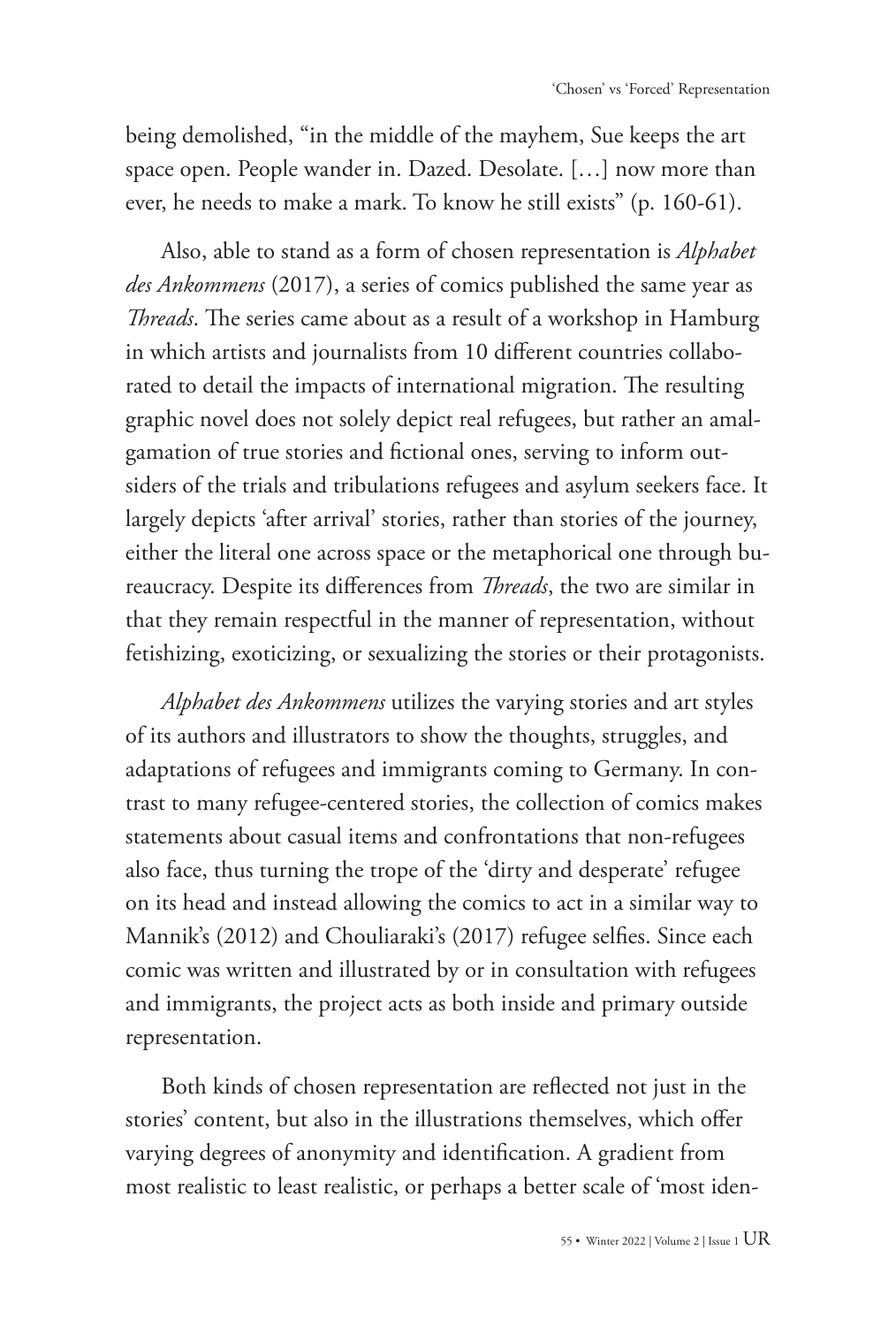being demolished, "in the middle of the mayhem, Sue keeps the art space open. People wander in. Dazed. Desolate. […] now more than ever, he needs to make a mark. To know he still exists" (p. 160-61).

Also, able to stand as a form of chosen representation is *Alphabet des Ankommens* (2017), a series of comics published the same year as *Threads*. The series came about as a result of a workshop in Hamburg in which artists and journalists from 10 different countries collaborated to detail the impacts of international migration. The resulting graphic novel does not solely depict real refugees, but rather an amalgamation of true stories and fictional ones, serving to inform outsiders of the trials and tribulations refugees and asylum seekers face. It largely depicts 'after arrival' stories, rather than stories of the journey, either the literal one across space or the metaphorical one through bureaucracy. Despite its differences from *Threads*, the two are similar in that they remain respectful in the manner of representation, without fetishizing, exoticizing, or sexualizing the stories or their protagonists.

*Alphabet des Ankommens* utilizes the varying stories and art styles of its authors and illustrators to show the thoughts, struggles, and adaptations of refugees and immigrants coming to Germany. In contrast to many refugee-centered stories, the collection of comics makes statements about casual items and confrontations that non-refugees also face, thus turning the trope of the 'dirty and desperate' refugee on its head and instead allowing the comics to act in a similar way to Mannik's (2012) and Chouliaraki's (2017) refugee selfies. Since each comic was written and illustrated by or in consultation with refugees and immigrants, the project acts as both inside and primary outside representation.

Both kinds of chosen representation are reflected not just in the stories' content, but also in the illustrations themselves, which offer varying degrees of anonymity and identification. A gradient from most realistic to least realistic, or perhaps a better scale of 'most iden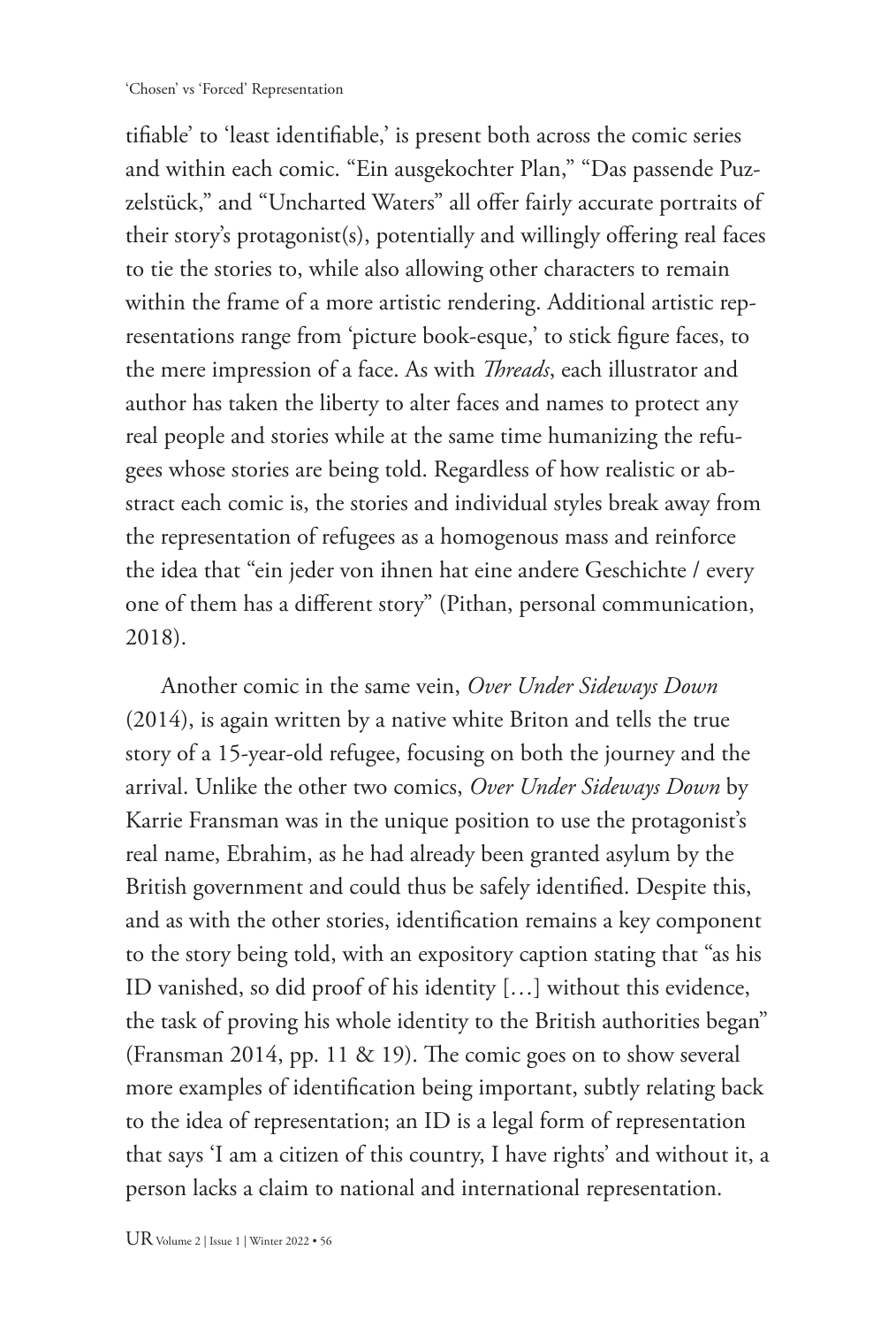tifiable' to 'least identifiable,' is present both across the comic series and within each comic. "Ein ausgekochter Plan," "Das passende Puzzelstück," and "Uncharted Waters" all offer fairly accurate portraits of their story's protagonist(s), potentially and willingly offering real faces to tie the stories to, while also allowing other characters to remain within the frame of a more artistic rendering. Additional artistic representations range from 'picture book-esque,' to stick figure faces, to the mere impression of a face. As with *Threads*, each illustrator and author has taken the liberty to alter faces and names to protect any real people and stories while at the same time humanizing the refugees whose stories are being told. Regardless of how realistic or abstract each comic is, the stories and individual styles break away from the representation of refugees as a homogenous mass and reinforce the idea that "ein jeder von ihnen hat eine andere Geschichte / every one of them has a different story" (Pithan, personal communication, 2018).

Another comic in the same vein, *Over Under Sideways Down* (2014), is again written by a native white Briton and tells the true story of a 15-year-old refugee, focusing on both the journey and the arrival. Unlike the other two comics, *Over Under Sideways Down* by Karrie Fransman was in the unique position to use the protagonist's real name, Ebrahim, as he had already been granted asylum by the British government and could thus be safely identified. Despite this, and as with the other stories, identification remains a key component to the story being told, with an expository caption stating that "as his ID vanished, so did proof of his identity […] without this evidence, the task of proving his whole identity to the British authorities began" (Fransman 2014, pp. 11 & 19). The comic goes on to show several more examples of identification being important, subtly relating back to the idea of representation; an ID is a legal form of representation that says 'I am a citizen of this country, I have rights' and without it, a person lacks a claim to national and international representation.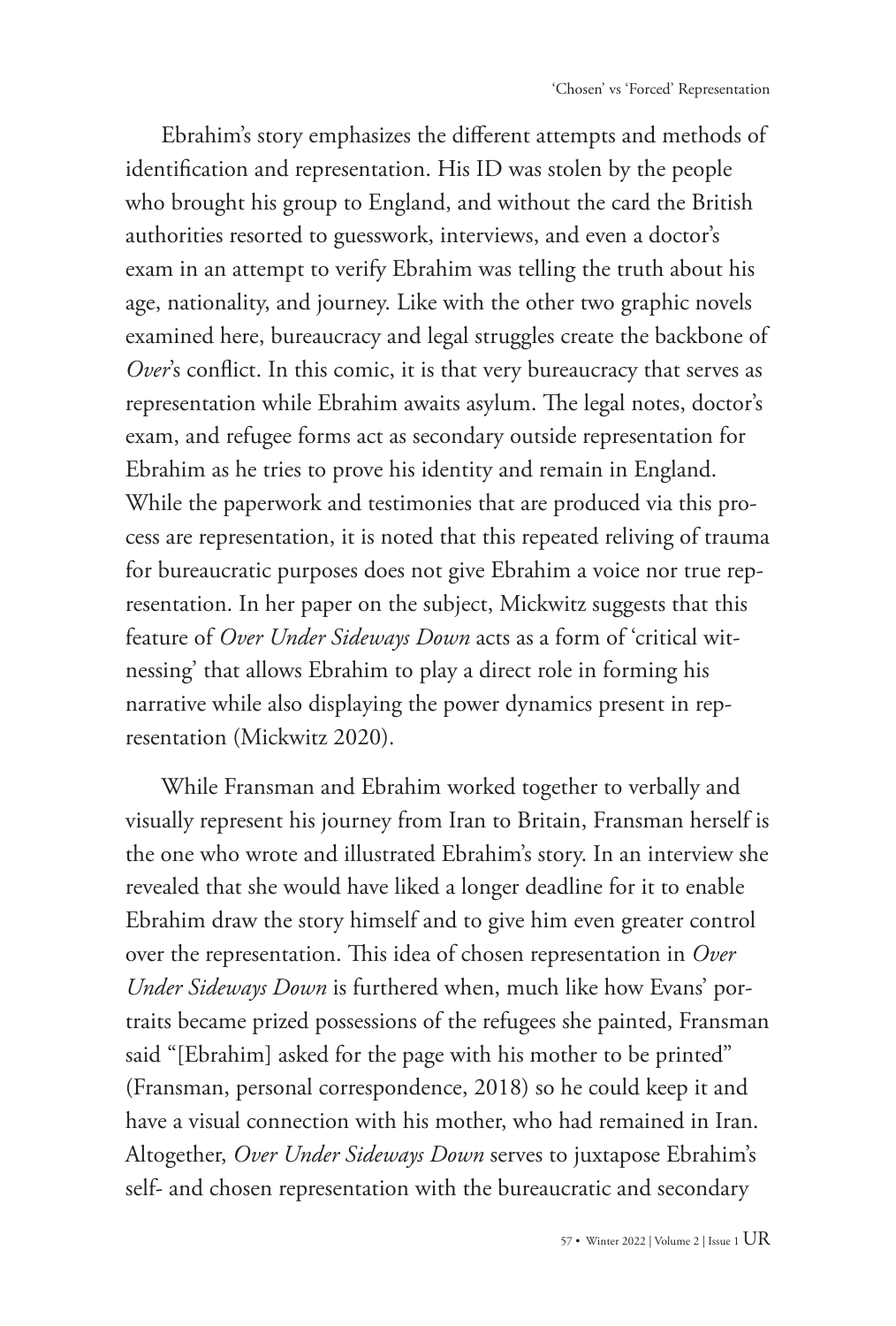Ebrahim's story emphasizes the different attempts and methods of identification and representation. His ID was stolen by the people who brought his group to England, and without the card the British authorities resorted to guesswork, interviews, and even a doctor's exam in an attempt to verify Ebrahim was telling the truth about his age, nationality, and journey. Like with the other two graphic novels examined here, bureaucracy and legal struggles create the backbone of *Over*'s conflict. In this comic, it is that very bureaucracy that serves as representation while Ebrahim awaits asylum. The legal notes, doctor's exam, and refugee forms act as secondary outside representation for Ebrahim as he tries to prove his identity and remain in England. While the paperwork and testimonies that are produced via this process are representation, it is noted that this repeated reliving of trauma for bureaucratic purposes does not give Ebrahim a voice nor true representation. In her paper on the subject, Mickwitz suggests that this feature of *Over Under Sideways Down* acts as a form of 'critical witnessing' that allows Ebrahim to play a direct role in forming his narrative while also displaying the power dynamics present in representation (Mickwitz 2020).

While Fransman and Ebrahim worked together to verbally and visually represent his journey from Iran to Britain, Fransman herself is the one who wrote and illustrated Ebrahim's story. In an interview she revealed that she would have liked a longer deadline for it to enable Ebrahim draw the story himself and to give him even greater control over the representation. This idea of chosen representation in *Over Under Sideways Down* is furthered when, much like how Evans' portraits became prized possessions of the refugees she painted, Fransman said "[Ebrahim] asked for the page with his mother to be printed" (Fransman, personal correspondence, 2018) so he could keep it and have a visual connection with his mother, who had remained in Iran. Altogether, *Over Under Sideways Down* serves to juxtapose Ebrahim's self- and chosen representation with the bureaucratic and secondary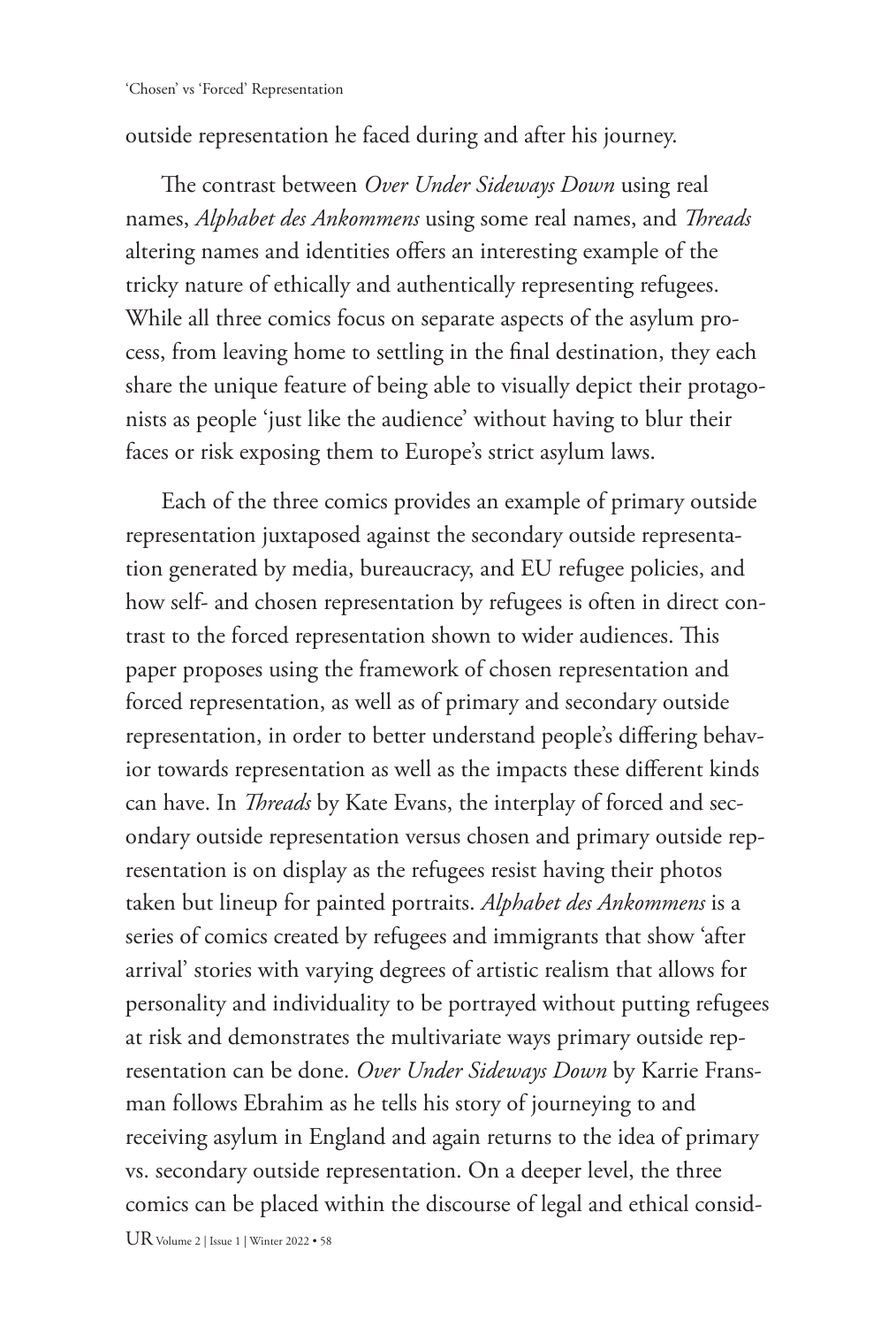outside representation he faced during and after his journey.

The contrast between *Over Under Sideways Down* using real names, *Alphabet des Ankommens* using some real names, and *Threads* altering names and identities offers an interesting example of the tricky nature of ethically and authentically representing refugees. While all three comics focus on separate aspects of the asylum process, from leaving home to settling in the final destination, they each share the unique feature of being able to visually depict their protagonists as people 'just like the audience' without having to blur their faces or risk exposing them to Europe's strict asylum laws.

Each of the three comics provides an example of primary outside representation juxtaposed against the secondary outside representation generated by media, bureaucracy, and EU refugee policies, and how self- and chosen representation by refugees is often in direct contrast to the forced representation shown to wider audiences. This paper proposes using the framework of chosen representation and forced representation, as well as of primary and secondary outside representation, in order to better understand people's differing behavior towards representation as well as the impacts these different kinds can have. In *Threads* by Kate Evans, the interplay of forced and secondary outside representation versus chosen and primary outside representation is on display as the refugees resist having their photos taken but lineup for painted portraits. *Alphabet des Ankommens* is a series of comics created by refugees and immigrants that show 'after arrival' stories with varying degrees of artistic realism that allows for personality and individuality to be portrayed without putting refugees at risk and demonstrates the multivariate ways primary outside representation can be done. *Over Under Sideways Down* by Karrie Fransman follows Ebrahim as he tells his story of journeying to and receiving asylum in England and again returns to the idea of primary vs. secondary outside representation. On a deeper level, the three comics can be placed within the discourse of legal and ethical consid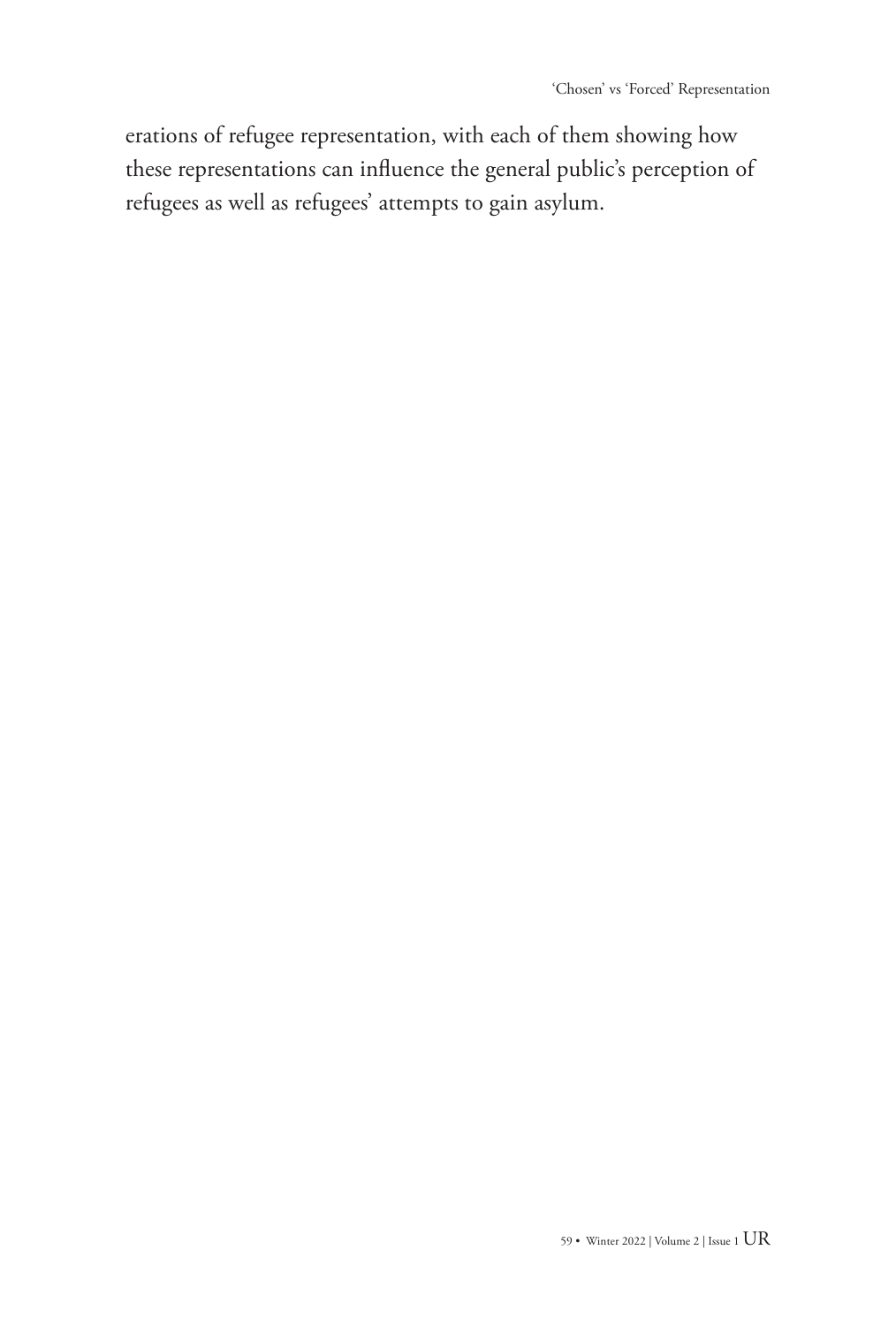erations of refugee representation, with each of them showing how these representations can influence the general public's perception of refugees as well as refugees' attempts to gain asylum.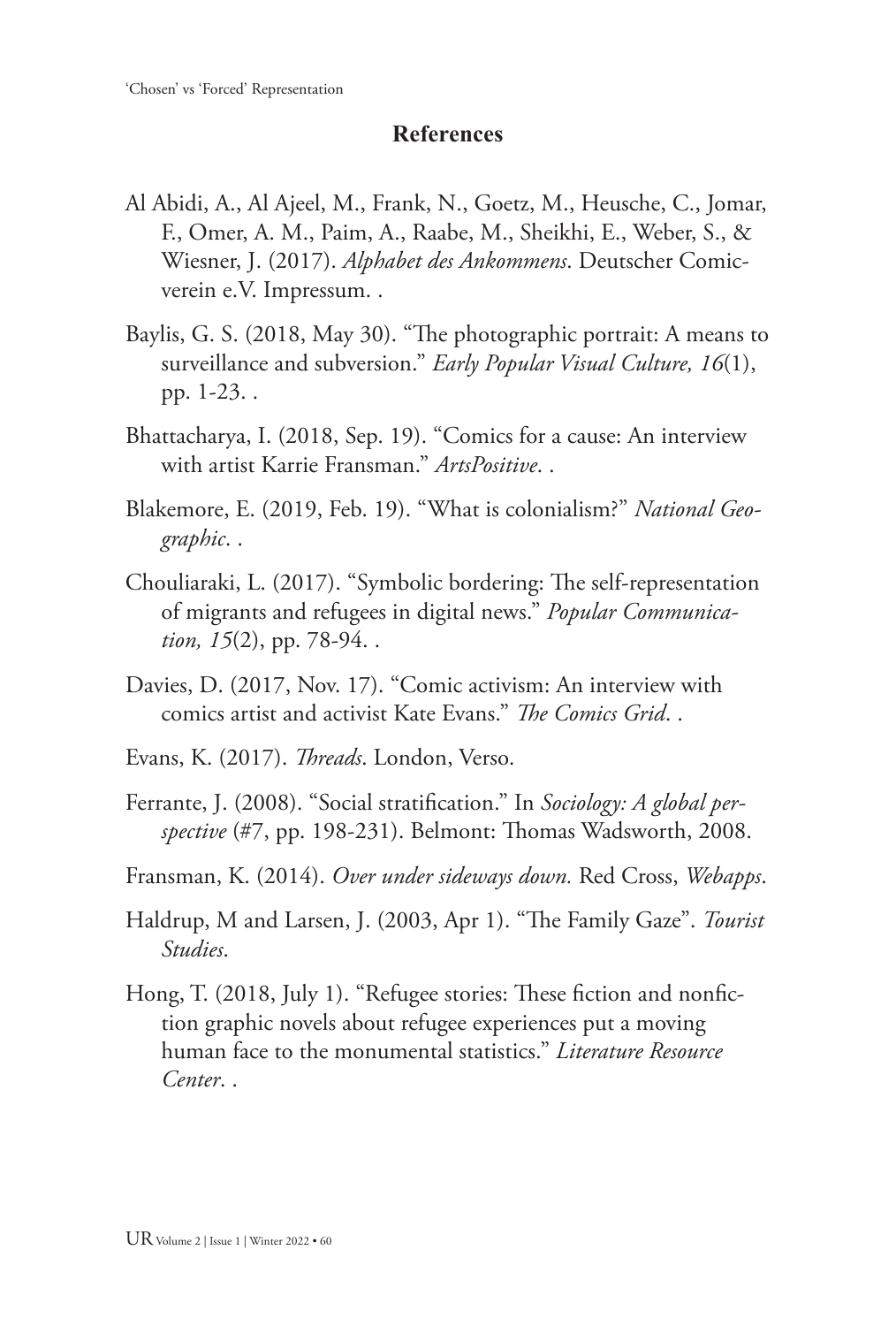## **References**

- Al Abidi, A., Al Ajeel, M., Frank, N., Goetz, M., Heusche, C., Jomar, F., Omer, A. M., Paim, A., Raabe, M., Sheikhi, E., Weber, S., & Wiesner, J. (2017). *Alphabet des Ankommens*. Deutscher Comicverein e.V. Impressum. .
- Baylis, G. S. (2018, May 30). "The photographic portrait: A means to surveillance and subversion." *Early Popular Visual Culture, 16*(1), pp. 1-23. .
- Bhattacharya, I. (2018, Sep. 19). "Comics for a cause: An interview with artist Karrie Fransman." *ArtsPositive*. .
- Blakemore, E. (2019, Feb. 19). "What is colonialism?" *National Geographic*. .
- Chouliaraki, L. (2017). "Symbolic bordering: The self-representation of migrants and refugees in digital news." *Popular Communication, 15*(2), pp. 78-94. .
- Davies, D. (2017, Nov. 17). "Comic activism: An interview with comics artist and activist Kate Evans." *The Comics Grid*. .
- Evans, K. (2017). *Threads*. London, Verso.
- Ferrante, J. (2008). "Social stratification." In *Sociology: A global perspective* (#7, pp. 198-231). Belmont: Thomas Wadsworth, 2008.
- Fransman, K. (2014). *Over under sideways down.* Red Cross, *Webapps*.
- Haldrup, M and Larsen, J. (2003, Apr 1). "The Family Gaze". *Tourist Studies*.
- Hong, T. (2018, July 1). "Refugee stories: These fiction and nonfiction graphic novels about refugee experiences put a moving human face to the monumental statistics." *Literature Resource Center*. .